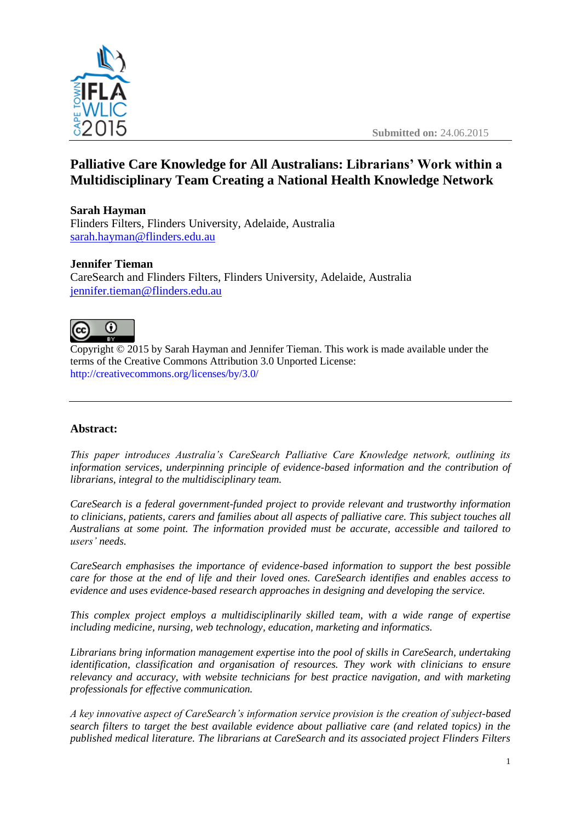



# **Palliative Care Knowledge for All Australians: Librarians' Work within a Multidisciplinary Team Creating a National Health Knowledge Network**

#### **Sarah Hayman**

Flinders Filters, Flinders University, Adelaide, Australia [sarah.hayman@flinders.edu.au](mailto:sarah.hayman@flinders.edu.au)

#### **Jennifer Tieman**

CareSearch and Flinders Filters, Flinders University, Adelaide, Australia [jennifer.tieman@flinders.edu.au](mailto:jennifer.tieman@flinders.edu.au)



Copyright © 2015 by Sarah Hayman and Jennifer Tieman. This work is made available under the terms of the Creative Commons Attribution 3.0 Unported License: <http://creativecommons.org/licenses/by/3.0/>

# **Abstract:**

*This paper introduces Australia's CareSearch Palliative Care Knowledge network, outlining its information services, underpinning principle of evidence-based information and the contribution of librarians, integral to the multidisciplinary team.*

*CareSearch is a federal government-funded project to provide relevant and trustworthy information to clinicians, patients, carers and families about all aspects of palliative care. This subject touches all Australians at some point. The information provided must be accurate, accessible and tailored to users' needs.*

*CareSearch emphasises the importance of evidence-based information to support the best possible care for those at the end of life and their loved ones. CareSearch identifies and enables access to evidence and uses evidence-based research approaches in designing and developing the service.*

*This complex project employs a multidisciplinarily skilled team, with a wide range of expertise including medicine, nursing, web technology, education, marketing and informatics.* 

*Librarians bring information management expertise into the pool of skills in CareSearch, undertaking identification, classification and organisation of resources. They work with clinicians to ensure relevancy and accuracy, with website technicians for best practice navigation, and with marketing professionals for effective communication.*

*A key innovative aspect of CareSearch's information service provision is the creation of subject-based search filters to target the best available evidence about palliative care (and related topics) in the published medical literature. The librarians at CareSearch and its associated project Flinders Filters*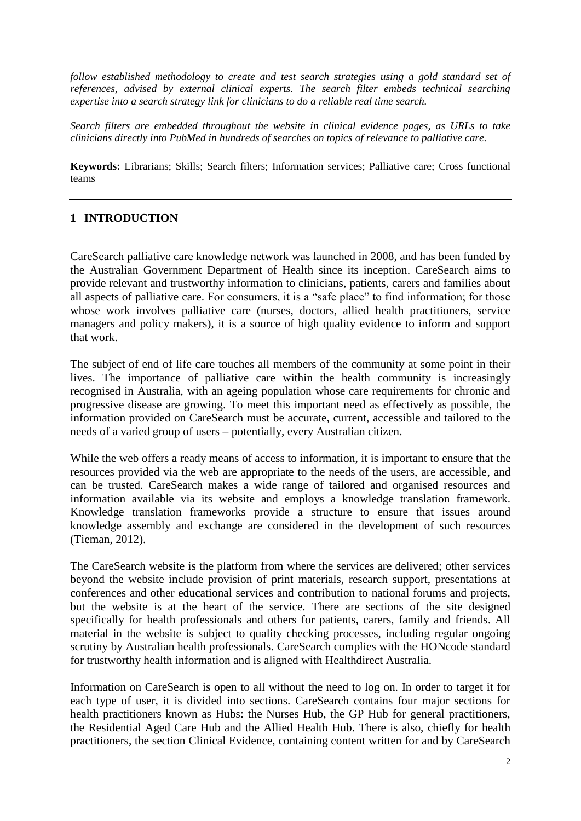*follow established methodology to create and test search strategies using a gold standard set of references, advised by external clinical experts. The search filter embeds technical searching expertise into a search strategy link for clinicians to do a reliable real time search.*

*Search filters are embedded throughout the website in clinical evidence pages, as URLs to take clinicians directly into PubMed in hundreds of searches on topics of relevance to palliative care.*

**Keywords:** Librarians; Skills; Search filters; Information services; Palliative care; Cross functional teams

# **1 INTRODUCTION**

CareSearch palliative care knowledge network was launched in 2008, and has been funded by the Australian Government Department of Health since its inception. CareSearch aims to provide relevant and trustworthy information to clinicians, patients, carers and families about all aspects of palliative care. For consumers, it is a "safe place" to find information; for those whose work involves palliative care (nurses, doctors, allied health practitioners, service managers and policy makers), it is a source of high quality evidence to inform and support that work.

The subject of end of life care touches all members of the community at some point in their lives. The importance of palliative care within the health community is increasingly recognised in Australia, with an ageing population whose care requirements for chronic and progressive disease are growing. To meet this important need as effectively as possible, the information provided on CareSearch must be accurate, current, accessible and tailored to the needs of a varied group of users – potentially, every Australian citizen.

While the web offers a ready means of access to information, it is important to ensure that the resources provided via the web are appropriate to the needs of the users, are accessible, and can be trusted. CareSearch makes a wide range of tailored and organised resources and information available via its website and employs a knowledge translation framework. Knowledge translation frameworks provide a structure to ensure that issues around knowledge assembly and exchange are considered in the development of such resources (Tieman, 2012).

The CareSearch website is the platform from where the services are delivered; other services beyond the website include provision of print materials, research support, presentations at conferences and other educational services and contribution to national forums and projects, but the website is at the heart of the service. There are sections of the site designed specifically for health professionals and others for patients, carers, family and friends. All material in the website is subject to quality checking processes, including regular ongoing scrutiny by Australian health professionals. CareSearch complies with the HONcode standard for trustworthy health information and is aligned with Healthdirect Australia.

Information on CareSearch is open to all without the need to log on. In order to target it for each type of user, it is divided into sections. CareSearch contains four major sections for health practitioners known as Hubs: the Nurses Hub, the GP Hub for general practitioners, the Residential Aged Care Hub and the Allied Health Hub. There is also, chiefly for health practitioners, the section Clinical Evidence, containing content written for and by CareSearch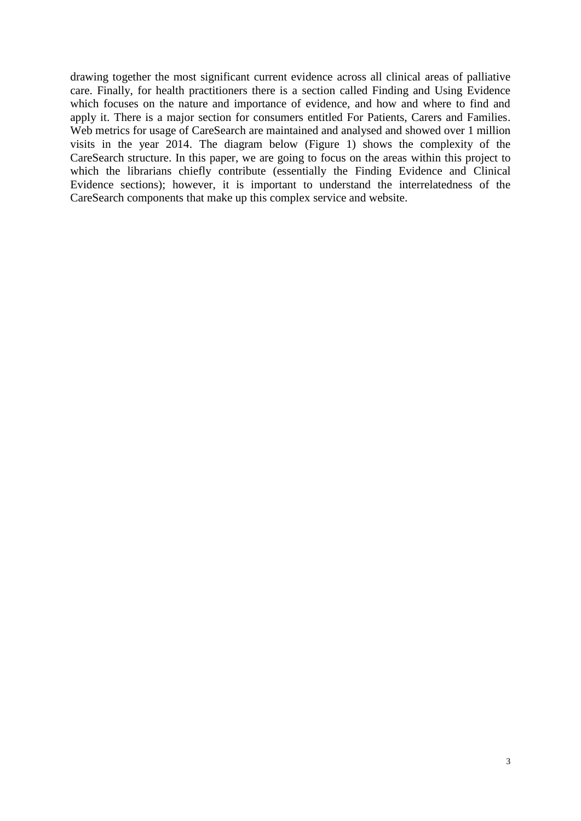drawing together the most significant current evidence across all clinical areas of palliative care. Finally, for health practitioners there is a section called Finding and Using Evidence which focuses on the nature and importance of evidence, and how and where to find and apply it. There is a major section for consumers entitled For Patients, Carers and Families. Web metrics for usage of CareSearch are maintained and analysed and showed over 1 million visits in the year 2014. The diagram below (Figure 1) shows the complexity of the CareSearch structure. In this paper, we are going to focus on the areas within this project to which the librarians chiefly contribute (essentially the Finding Evidence and Clinical Evidence sections); however, it is important to understand the interrelatedness of the CareSearch components that make up this complex service and website.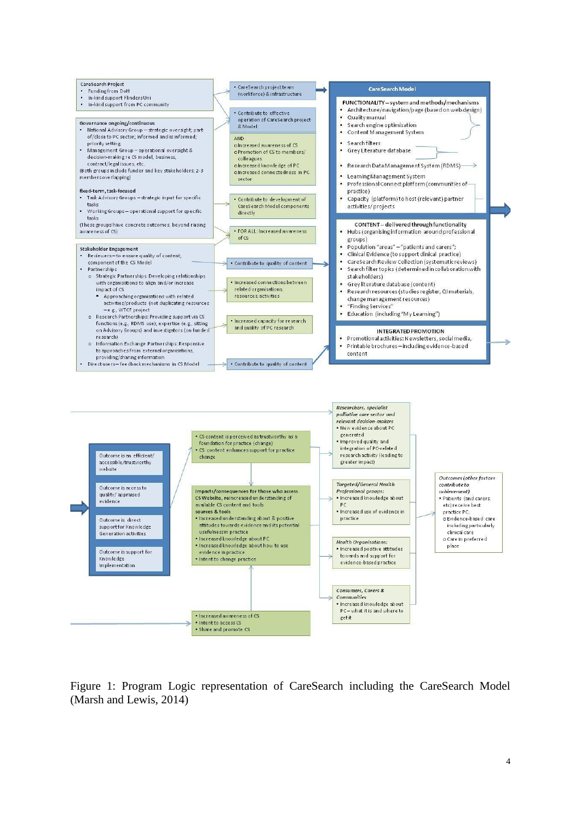

Figure 1: Program Logic representation of CareSearch including the CareSearch Model (Marsh and Lewis, 2014)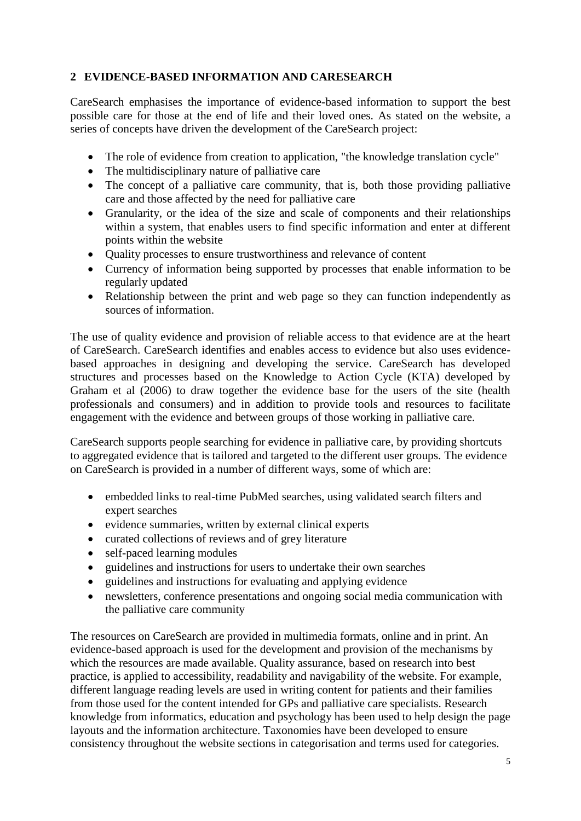# **2 EVIDENCE-BASED INFORMATION AND CARESEARCH**

CareSearch emphasises the importance of evidence-based information to support the best possible care for those at the end of life and their loved ones. As stated on the website, a series of concepts have driven the development of the CareSearch project:

- The role of evidence from creation to application, "the knowledge translation cycle"
- The multidisciplinary nature of palliative care
- The concept of a palliative care community, that is, both those providing palliative care and those affected by the need for palliative care
- Granularity, or the idea of the size and scale of components and their relationships within a system, that enables users to find specific information and enter at different points within the website
- Ouality processes to ensure trustworthiness and relevance of content
- Currency of information being supported by processes that enable information to be regularly updated
- Relationship between the print and web page so they can function independently as sources of information.

The use of quality evidence and provision of reliable access to that evidence are at the heart of CareSearch. CareSearch identifies and enables access to evidence but also uses evidencebased approaches in designing and developing the service. CareSearch has developed structures and processes based on the Knowledge to Action Cycle (KTA) developed by Graham et al (2006) to draw together the evidence base for the users of the site (health professionals and consumers) and in addition to provide tools and resources to facilitate engagement with the evidence and between groups of those working in palliative care.

CareSearch supports people searching for evidence in palliative care, by providing shortcuts to aggregated evidence that is tailored and targeted to the different user groups. The evidence on CareSearch is provided in a number of different ways, some of which are:

- embedded links to real-time PubMed searches, using validated search filters and expert searches
- evidence summaries, written by external clinical experts
- curated collections of reviews and of grey literature
- self-paced learning modules
- guidelines and instructions for users to undertake their own searches
- guidelines and instructions for evaluating and applying evidence
- newsletters, conference presentations and ongoing social media communication with the palliative care community

The resources on CareSearch are provided in multimedia formats, online and in print. An evidence-based approach is used for the development and provision of the mechanisms by which the resources are made available. Quality assurance, based on research into best practice, is applied to accessibility, readability and navigability of the website. For example, different language reading levels are used in writing content for patients and their families from those used for the content intended for GPs and palliative care specialists. Research knowledge from informatics, education and psychology has been used to help design the page layouts and the information architecture. Taxonomies have been developed to ensure consistency throughout the website sections in categorisation and terms used for categories.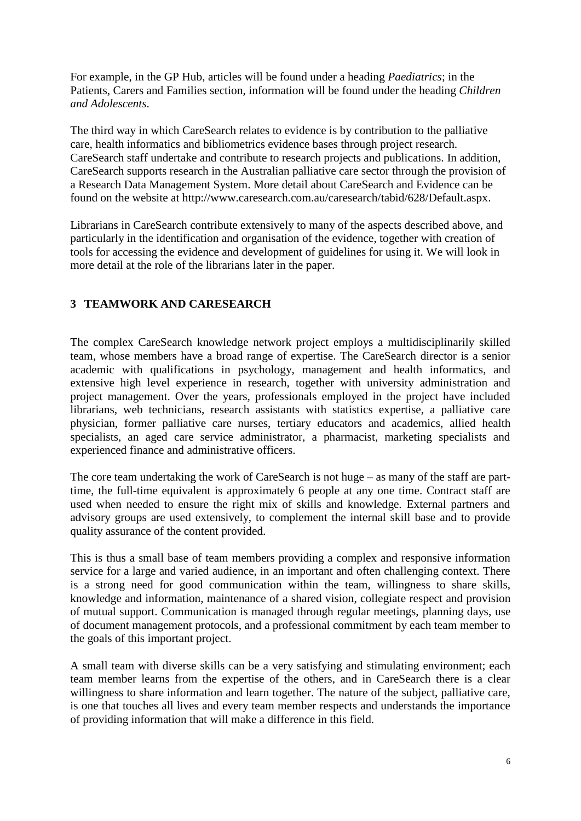For example, in the GP Hub, articles will be found under a heading *Paediatrics*; in the Patients, Carers and Families section, information will be found under the heading *Children and Adolescents*.

The third way in which CareSearch relates to evidence is by contribution to the palliative care, health informatics and bibliometrics evidence bases through project research. CareSearch staff undertake and contribute to research projects and publications. In addition, CareSearch supports research in the Australian palliative care sector through the provision of a Research Data Management System. More detail about CareSearch and Evidence can be found on the website at http://www.caresearch.com.au/caresearch/tabid/628/Default.aspx.

Librarians in CareSearch contribute extensively to many of the aspects described above, and particularly in the identification and organisation of the evidence, together with creation of tools for accessing the evidence and development of guidelines for using it. We will look in more detail at the role of the librarians later in the paper.

# **3 TEAMWORK AND CARESEARCH**

The complex CareSearch knowledge network project employs a multidisciplinarily skilled team, whose members have a broad range of expertise. The CareSearch director is a senior academic with qualifications in psychology, management and health informatics, and extensive high level experience in research, together with university administration and project management. Over the years, professionals employed in the project have included librarians, web technicians, research assistants with statistics expertise, a palliative care physician, former palliative care nurses, tertiary educators and academics, allied health specialists, an aged care service administrator, a pharmacist, marketing specialists and experienced finance and administrative officers.

The core team undertaking the work of CareSearch is not huge – as many of the staff are parttime, the full-time equivalent is approximately 6 people at any one time. Contract staff are used when needed to ensure the right mix of skills and knowledge. External partners and advisory groups are used extensively, to complement the internal skill base and to provide quality assurance of the content provided.

This is thus a small base of team members providing a complex and responsive information service for a large and varied audience, in an important and often challenging context. There is a strong need for good communication within the team, willingness to share skills, knowledge and information, maintenance of a shared vision, collegiate respect and provision of mutual support. Communication is managed through regular meetings, planning days, use of document management protocols, and a professional commitment by each team member to the goals of this important project.

A small team with diverse skills can be a very satisfying and stimulating environment; each team member learns from the expertise of the others, and in CareSearch there is a clear willingness to share information and learn together. The nature of the subject, palliative care, is one that touches all lives and every team member respects and understands the importance of providing information that will make a difference in this field.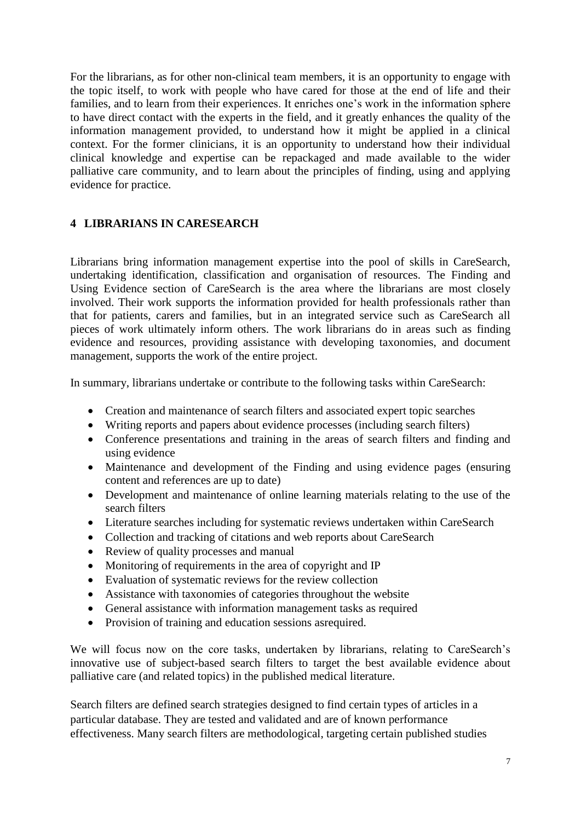For the librarians, as for other non-clinical team members, it is an opportunity to engage with the topic itself, to work with people who have cared for those at the end of life and their families, and to learn from their experiences. It enriches one's work in the information sphere to have direct contact with the experts in the field, and it greatly enhances the quality of the information management provided, to understand how it might be applied in a clinical context. For the former clinicians, it is an opportunity to understand how their individual clinical knowledge and expertise can be repackaged and made available to the wider palliative care community, and to learn about the principles of finding, using and applying evidence for practice.

# **4 LIBRARIANS IN CARESEARCH**

Librarians bring information management expertise into the pool of skills in CareSearch, undertaking identification, classification and organisation of resources. The Finding and Using Evidence section of CareSearch is the area where the librarians are most closely involved. Their work supports the information provided for health professionals rather than that for patients, carers and families, but in an integrated service such as CareSearch all pieces of work ultimately inform others. The work librarians do in areas such as finding evidence and resources, providing assistance with developing taxonomies, and document management, supports the work of the entire project.

In summary, librarians undertake or contribute to the following tasks within CareSearch:

- Creation and maintenance of search filters and associated expert topic searches
- Writing reports and papers about evidence processes (including search filters)
- Conference presentations and training in the areas of search filters and finding and using evidence
- Maintenance and development of the Finding and using evidence pages (ensuring content and references are up to date)
- Development and maintenance of online learning materials relating to the use of the search filters
- Literature searches including for systematic reviews undertaken within CareSearch
- Collection and tracking of citations and web reports about CareSearch
- Review of quality processes and manual
- Monitoring of requirements in the area of copyright and IP
- Evaluation of systematic reviews for the review collection
- Assistance with taxonomies of categories throughout the website
- General assistance with information management tasks as required
- Provision of training and education sessions asrequired.

We will focus now on the core tasks, undertaken by librarians, relating to CareSearch's innovative use of subject-based search filters to target the best available evidence about palliative care (and related topics) in the published medical literature.

Search filters are defined search strategies designed to find certain types of articles in a particular database. They are tested and validated and are of known performance effectiveness. Many search filters are methodological, targeting certain published studies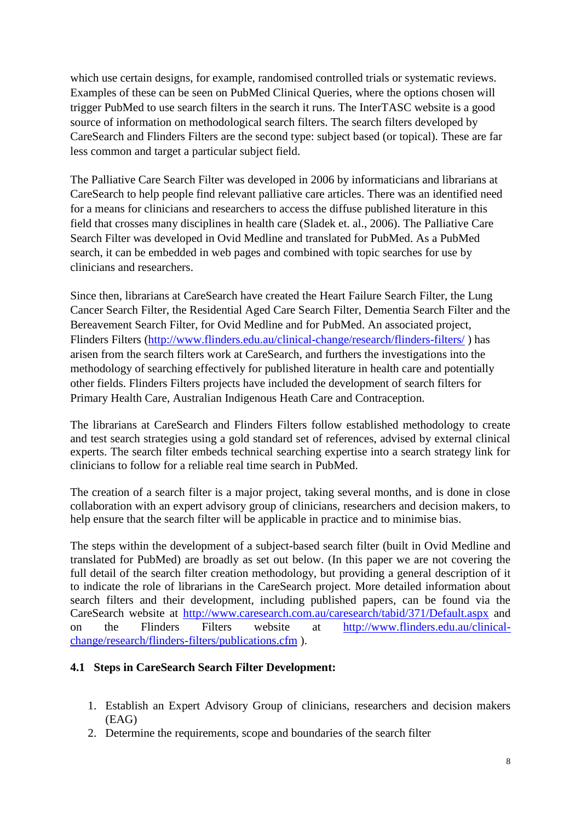which use certain designs, for example, randomised controlled trials or systematic reviews. Examples of these can be seen on [PubMed Clinical Queries,](http://www.ncbi.nlm.nih.gov/pubmed/clinical) where the options chosen will trigger PubMed to use search filters in the search it runs. The InterTASC website is a good source of information on methodological search filters. The search filters developed by CareSearch and Flinders Filters are the second type: subject based (or topical). These are far less common and target a particular subject field.

The [Palliative Care Search Filter](http://www.caresearch.com.au/Caresearch/LinkClick.aspx?link=377&tabid=371) was developed in 2006 by informaticians and librarians at CareSearch to help people find relevant palliative care articles. There was an identified need for a means for clinicians and researchers to access the diffuse published literature in this field that crosses many disciplines in health care (Sladek et. al., 2006). The Palliative Care Search Filter was developed in Ovid Medline and translated for PubMed. As a PubMed search, it can be embedded in web pages and combined with topic searches for use by clinicians and researchers.

Since then, librarians at CareSearch have created the [Heart Failure Search Filter,](http://www.caresearch.com.au/caresearch/tabid/1762/Default.aspx) the [Lung](http://www.caresearch.com.au/caresearch/tabid/1940/Default.aspx)  [Cancer Search Filter,](http://www.caresearch.com.au/caresearch/tabid/1940/Default.aspx) the Residential Aged Care Search Filter, [Dementia Search Filter](http://www.caresearch.com.au/caresearch/tabid/2799/Default.aspx) and the [Bereavement Search Filter,](http://www.caresearch.com.au/caresearch/tabid/2784/Default.aspx) for Ovid Medline and for PubMed. An associated project, Flinders Filters [\(http://www.flinders.edu.au/clinical-change/research/flinders-filters/](http://www.flinders.edu.au/clinical-change/research/flinders-filters/) ) has arisen from the search filters work at CareSearch, and furthers the investigations into the methodology of searching effectively for published literature in health care and potentially other fields. Flinders Filters projects have included the development of search filters for Primary Health Care, Australian Indigenous Heath Care and Contraception.

The librarians at CareSearch and Flinders Filters follow established methodology to create and test search strategies using a gold standard set of references, advised by external clinical experts. The search filter embeds technical searching expertise into a search strategy link for clinicians to follow for a reliable real time search in PubMed.

The creation of a search filter is a major project, taking several months, and is done in close collaboration with an expert advisory group of clinicians, researchers and decision makers, to help ensure that the search filter will be applicable in practice and to minimise bias.

The steps within the development of a subject-based search filter (built in Ovid Medline and translated for PubMed) are broadly as set out below. (In this paper we are not covering the full detail of the search filter creation methodology, but providing a general description of it to indicate the role of librarians in the CareSearch project. More detailed information about search filters and their development, including published papers, can be found via the CareSearch website at<http://www.caresearch.com.au/caresearch/tabid/371/Default.aspx> and on the Flinders Filters website at [http://www.flinders.edu.au/clinical](http://www.flinders.edu.au/clinical-change/research/flinders-filters/publications.cfm)[change/research/flinders-filters/publications.cfm](http://www.flinders.edu.au/clinical-change/research/flinders-filters/publications.cfm) ).

# **4.1 Steps in CareSearch Search Filter Development:**

- 1. Establish an Expert Advisory Group of clinicians, researchers and decision makers (EAG)
- 2. Determine the requirements, scope and boundaries of the search filter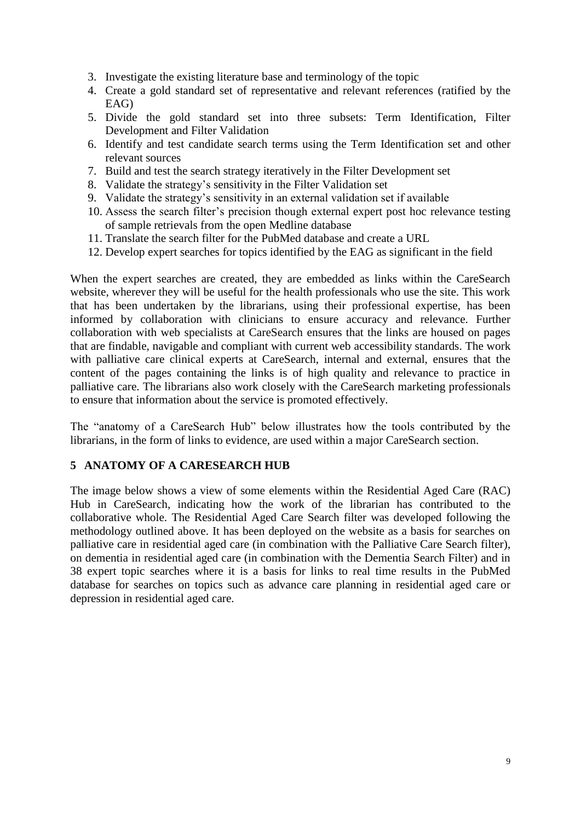- 3. Investigate the existing literature base and terminology of the topic
- 4. Create a gold standard set of representative and relevant references (ratified by the EAG)
- 5. Divide the gold standard set into three subsets: Term Identification, Filter Development and Filter Validation
- 6. Identify and test candidate search terms using the Term Identification set and other relevant sources
- 7. Build and test the search strategy iteratively in the Filter Development set
- 8. Validate the strategy's sensitivity in the Filter Validation set
- 9. Validate the strategy's sensitivity in an external validation set if available
- 10. Assess the search filter's precision though external expert post hoc relevance testing of sample retrievals from the open Medline database
- 11. Translate the search filter for the PubMed database and create a URL
- 12. Develop expert searches for topics identified by the EAG as significant in the field

When the expert searches are created, they are embedded as links within the CareSearch website, wherever they will be useful for the health professionals who use the site. This work that has been undertaken by the librarians, using their professional expertise, has been informed by collaboration with clinicians to ensure accuracy and relevance. Further collaboration with web specialists at CareSearch ensures that the links are housed on pages that are findable, navigable and compliant with current web accessibility standards. The work with palliative care clinical experts at CareSearch, internal and external, ensures that the content of the pages containing the links is of high quality and relevance to practice in palliative care. The librarians also work closely with the CareSearch marketing professionals to ensure that information about the service is promoted effectively.

The "anatomy of a CareSearch Hub" below illustrates how the tools contributed by the librarians, in the form of links to evidence, are used within a major CareSearch section.

# **5 ANATOMY OF A CARESEARCH HUB**

The image below shows a view of some elements within the Residential Aged Care (RAC) Hub in CareSearch, indicating how the work of the librarian has contributed to the collaborative whole. The Residential Aged Care Search filter was developed following the methodology outlined above. It has been deployed on the website as a basis for searches on palliative care in residential aged care (in combination with the Palliative Care Search filter), on dementia in residential aged care (in combination with the Dementia Search Filter) and in 38 expert topic searches where it is a basis for links to real time results in the PubMed database for searches on topics such as advance care planning in residential aged care or depression in residential aged care.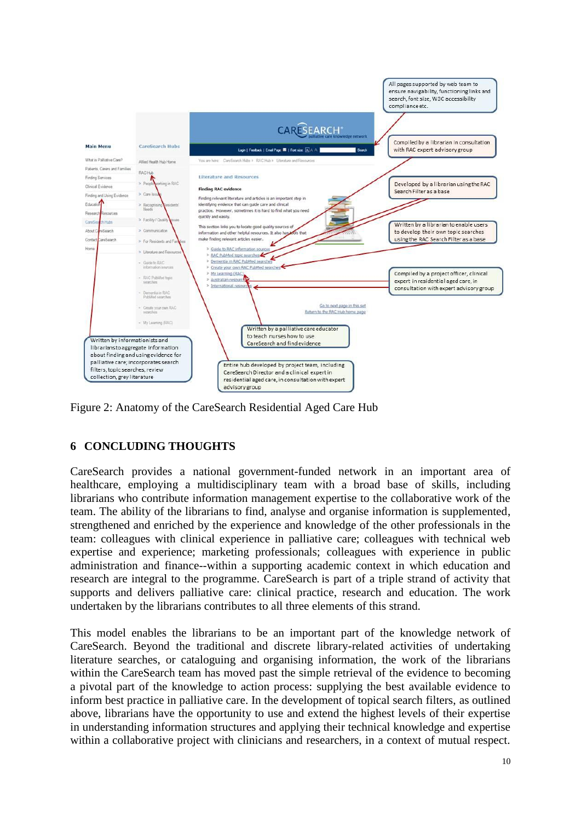

Figure 2: Anatomy of the CareSearch Residential Aged Care Hub

# **6 CONCLUDING THOUGHTS**

CareSearch provides a national government-funded network in an important area of healthcare, employing a multidisciplinary team with a broad base of skills, including librarians who contribute information management expertise to the collaborative work of the team. The ability of the librarians to find, analyse and organise information is supplemented, strengthened and enriched by the experience and knowledge of the other professionals in the team: colleagues with clinical experience in palliative care; colleagues with technical web expertise and experience; marketing professionals; colleagues with experience in public administration and finance--within a supporting academic context in which education and research are integral to the programme. CareSearch is part of a triple strand of activity that supports and delivers palliative care: clinical practice, research and education. The work undertaken by the librarians contributes to all three elements of this strand.

This model enables the librarians to be an important part of the knowledge network of CareSearch. Beyond the traditional and discrete library-related activities of undertaking literature searches, or cataloguing and organising information, the work of the librarians within the CareSearch team has moved past the simple retrieval of the evidence to becoming a pivotal part of the knowledge to action process: supplying the best available evidence to inform best practice in palliative care. In the development of topical search filters, as outlined above, librarians have the opportunity to use and extend the highest levels of their expertise in understanding information structures and applying their technical knowledge and expertise within a collaborative project with clinicians and researchers, in a context of mutual respect.